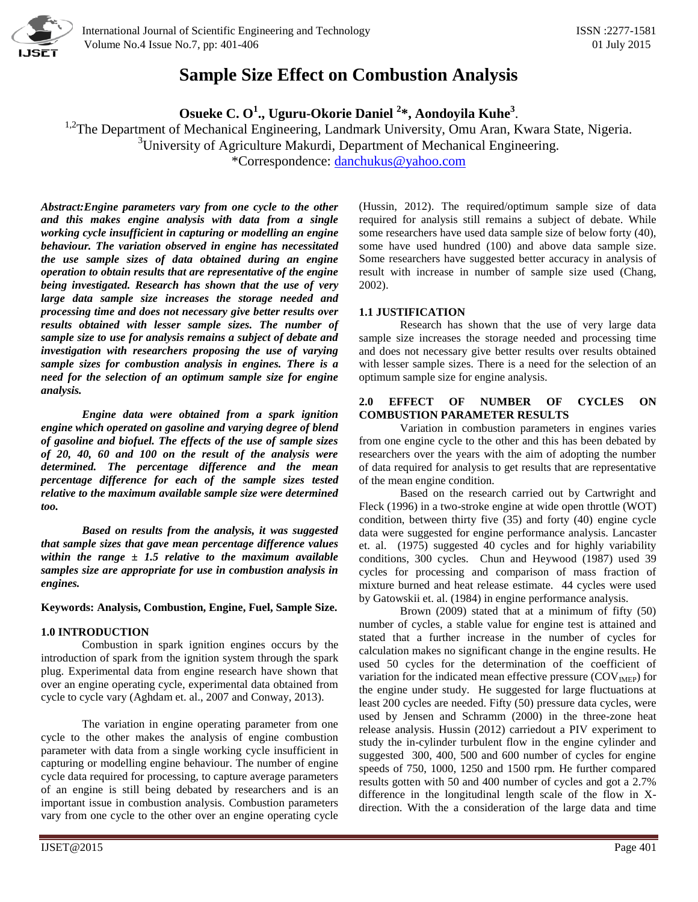

 International Journal of Scientific Engineering and Technology ISSN :2277-1581 Volume No.4 Issue No.7, pp: 401-406 01 July 2015

# **Sample Size Effect on Combustion Analysis**

**Osueke C. O<sup>1</sup> ., Uguru-Okorie Daniel <sup>2</sup> \*, Aondoyila Kuhe<sup>3</sup>** .

<sup>1,2</sup>The Department of Mechanical Engineering, Landmark University, Omu Aran, Kwara State, Nigeria.

<sup>3</sup>University of Agriculture Makurdi, Department of Mechanical Engineering.

\*Correspondence: [danchukus@yahoo.com](mailto:danchukus@yahoo.com)

*Abstract:Engine parameters vary from one cycle to the other and this makes engine analysis with data from a single working cycle insufficient in capturing or modelling an engine behaviour. The variation observed in engine has necessitated the use sample sizes of data obtained during an engine operation to obtain results that are representative of the engine being investigated. Research has shown that the use of very large data sample size increases the storage needed and processing time and does not necessary give better results over results obtained with lesser sample sizes. The number of sample size to use for analysis remains a subject of debate and investigation with researchers proposing the use of varying sample sizes for combustion analysis in engines. There is a need for the selection of an optimum sample size for engine analysis.*

*Engine data were obtained from a spark ignition engine which operated on gasoline and varying degree of blend of gasoline and biofuel. The effects of the use of sample sizes of 20, 40, 60 and 100 on the result of the analysis were determined. The percentage difference and the mean percentage difference for each of the sample sizes tested relative to the maximum available sample size were determined too.*

*Based on results from the analysis, it was suggested that sample sizes that gave mean percentage difference values within the range ± 1.5 relative to the maximum available samples size are appropriate for use in combustion analysis in engines.*

**Keywords: Analysis, Combustion, Engine, Fuel, Sample Size.**

# **1.0 INTRODUCTION**

Combustion in spark ignition engines occurs by the introduction of spark from the ignition system through the spark plug. Experimental data from engine research have shown that over an engine operating cycle, experimental data obtained from cycle to cycle vary (Aghdam et. al., 2007 and Conway, 2013).

The variation in engine operating parameter from one cycle to the other makes the analysis of engine combustion parameter with data from a single working cycle insufficient in capturing or modelling engine behaviour. The number of engine cycle data required for processing, to capture average parameters of an engine is still being debated by researchers and is an important issue in combustion analysis. Combustion parameters vary from one cycle to the other over an engine operating cycle

(Hussin, 2012). The required/optimum sample size of data required for analysis still remains a subject of debate. While some researchers have used data sample size of below forty (40), some have used hundred (100) and above data sample size. Some researchers have suggested better accuracy in analysis of result with increase in number of sample size used (Chang, 2002).

# **1.1 JUSTIFICATION**

Research has shown that the use of very large data sample size increases the storage needed and processing time and does not necessary give better results over results obtained with lesser sample sizes. There is a need for the selection of an optimum sample size for engine analysis.

## **2.0 EFFECT OF NUMBER OF CYCLES ON COMBUSTION PARAMETER RESULTS**

Variation in combustion parameters in engines varies from one engine cycle to the other and this has been debated by researchers over the years with the aim of adopting the number of data required for analysis to get results that are representative of the mean engine condition.

Based on the research carried out by Cartwright and Fleck (1996) in a two-stroke engine at wide open throttle (WOT) condition, between thirty five (35) and forty (40) engine cycle data were suggested for engine performance analysis. Lancaster et. al. (1975) suggested 40 cycles and for highly variability conditions, 300 cycles. Chun and Heywood (1987) used 39 cycles for processing and comparison of mass fraction of mixture burned and heat release estimate. 44 cycles were used by Gatowskii et. al. (1984) in engine performance analysis.

Brown (2009) stated that at a minimum of fifty (50) number of cycles, a stable value for engine test is attained and stated that a further increase in the number of cycles for calculation makes no significant change in the engine results. He used 50 cycles for the determination of the coefficient of variation for the indicated mean effective pressure  $(COV<sub>IMEP</sub>)$  for the engine under study. He suggested for large fluctuations at least 200 cycles are needed. Fifty (50) pressure data cycles, were used by Jensen and Schramm (2000) in the three-zone heat release analysis. Hussin (2012) carriedout a PIV experiment to study the in-cylinder turbulent flow in the engine cylinder and suggested 300, 400, 500 and 600 number of cycles for engine speeds of 750, 1000, 1250 and 1500 rpm. He further compared results gotten with 50 and 400 number of cycles and got a 2.7% difference in the longitudinal length scale of the flow in Xdirection. With the a consideration of the large data and time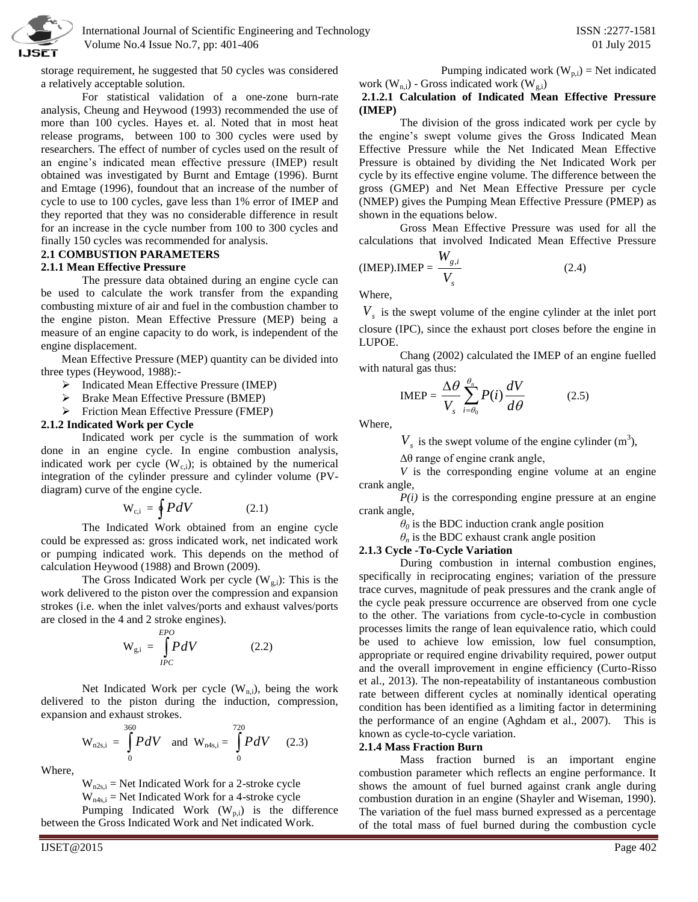

storage requirement, he suggested that 50 cycles was considered a relatively acceptable solution.

For statistical validation of a one-zone burn-rate analysis, Cheung and Heywood (1993) recommended the use of more than 100 cycles. Hayes et. al. Noted that in most heat release programs, between 100 to 300 cycles were used by researchers. The effect of number of cycles used on the result of an engine's indicated mean effective pressure (IMEP) result obtained was investigated by Burnt and Emtage (1996). Burnt and Emtage (1996), foundout that an increase of the number of cycle to use to 100 cycles, gave less than 1% error of IMEP and they reported that they was no considerable difference in result for an increase in the cycle number from 100 to 300 cycles and finally 150 cycles was recommended for analysis.

# **2.1 COMBUSTION PARAMETERS**

### **2.1.1 Mean Effective Pressure**

The pressure data obtained during an engine cycle can be used to calculate the work transfer from the expanding combusting mixture of air and fuel in the combustion chamber to the engine piston. Mean Effective Pressure (MEP) being a measure of an engine capacity to do work, is independent of the engine displacement.

Mean Effective Pressure (MEP) quantity can be divided into three types (Heywood, 1988):-

- $\triangleright$  Indicated Mean Effective Pressure (IMEP)
- **Brake Mean Effective Pressure (BMEP)**
- Friction Mean Effective Pressure (FMEP)

## **2.1.2 Indicated Work per Cycle**

Indicated work per cycle is the summation of work done in an engine cycle. In engine combustion analysis, indicated work per cycle  $(W_{c,i})$ ; is obtained by the numerical integration of the cylinder pressure and cylinder volume (PVdiagram) curve of the engine cycle.

$$
W_{c,i} = \oint P dV \qquad (2.1)
$$

The Indicated Work obtained from an engine cycle could be expressed as: gross indicated work, net indicated work or pumping indicated work. This depends on the method of calculation Heywood (1988) and Brown (2009).

The Gross Indicated Work per cycle  $(W_{g,i})$ : This is the work delivered to the piston over the compression and expansion strokes (i.e. when the inlet valves/ports and exhaust valves/ports are closed in the 4 and 2 stroke engines).

$$
W_{g,i} = \int_{IPC}^{EPO} P dV
$$
 (2.2)

Net Indicated Work per cycle  $(W_{n,i})$ , being the work delivered to the piston during the induction, compression, expansion and exhaust strokes.

$$
W_{n2s,i} = \int_{0}^{360} PdV \text{ and } W_{n4s,i} = \int_{0}^{720} PdV \quad (2.3)
$$

Where,

 $W_{n2s,i}$  = Net Indicated Work for a 2-stroke cycle

 $W_{n4s,i}$  = Net Indicated Work for a 4-stroke cycle

Pumping Indicated Work  $(W_{p,i})$  is the difference between the Gross Indicated Work and Net indicated Work.

Pumping indicated work  $(W_{p,i})$  = Net indicated work  $(W_{nj})$  - Gross indicated work  $(W_{j})$ 

# **2.1.2.1 Calculation of Indicated Mean Effective Pressure (IMEP)**

The division of the gross indicated work per cycle by the engine's swept volume gives the Gross Indicated Mean Effective Pressure while the Net Indicated Mean Effective Pressure is obtained by dividing the Net Indicated Work per cycle by its effective engine volume. The difference between the gross (GMEP) and Net Mean Effective Pressure per cycle (NMEP) gives the Pumping Mean Effective Pressure (PMEP) as shown in the equations below.

Gross Mean Effective Pressure was used for all the calculations that involved Indicated Mean Effective Pressure

$$
(IMEP).IMEP = \frac{W_{g,i}}{V_s}
$$
 (2.4)

Where,

*Vs* is the swept volume of the engine cylinder at the inlet port closure (IPC), since the exhaust port closes before the engine in LUPOE.

Chang (2002) calculated the IMEP of an engine fuelled with natural gas thus:

$$
IMEP = \frac{\Delta \theta}{V_s} \sum_{i=\theta_0}^{\theta_n} P(i) \frac{dV}{d\theta} \tag{2.5}
$$

Where,

 $V_s$  is the swept volume of the engine cylinder (m<sup>3</sup>),

Δθ range of engine crank angle,

*V* is the corresponding engine volume at an engine crank angle,

 $P(i)$  is the corresponding engine pressure at an engine crank angle,

 $\theta_0$  is the BDC induction crank angle position

 $\theta_n$  is the BDC exhaust crank angle position

## **2.1.3 Cycle -To-Cycle Variation**

During combustion in internal combustion engines, specifically in reciprocating engines; variation of the pressure trace curves, magnitude of peak pressures and the crank angle of the cycle peak pressure occurrence are observed from one cycle to the other. The variations from cycle-to-cycle in combustion processes limits the range of lean equivalence ratio, which could be used to achieve low emission, low fuel consumption, appropriate or required engine drivability required, power output and the overall improvement in engine efficiency (Curto-Risso et al., 2013). The non-repeatability of instantaneous combustion rate between different cycles at nominally identical operating condition has been identified as a limiting factor in determining the performance of an engine (Aghdam et al., 2007). This is known as cycle-to-cycle variation.

#### **2.1.4 Mass Fraction Burn**

Mass fraction burned is an important engine combustion parameter which reflects an engine performance. It shows the amount of fuel burned against crank angle during combustion duration in an engine (Shayler and Wiseman, 1990). The variation of the fuel mass burned expressed as a percentage of the total mass of fuel burned during the combustion cycle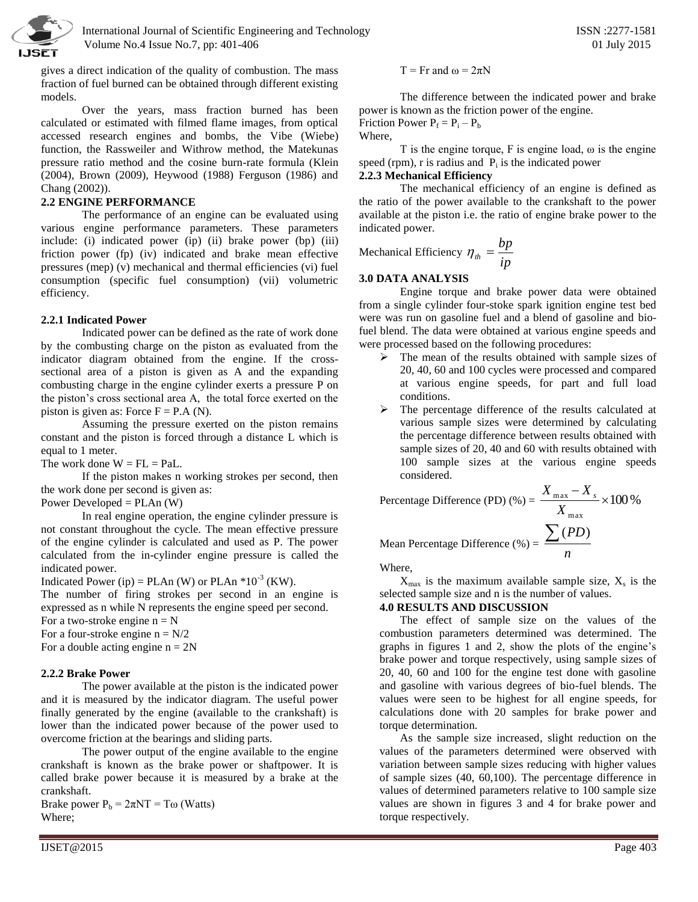

 International Journal of Scientific Engineering and Technology ISSN :2277-1581 Volume No.4 Issue No.7, pp: 401-406 01 July 2015

gives a direct indication of the quality of combustion. The mass fraction of fuel burned can be obtained through different existing models.

Over the years, mass fraction burned has been calculated or estimated with filmed flame images, from optical accessed research engines and bombs, the Vibe (Wiebe) function, the Rassweiler and Withrow method, the Matekunas pressure ratio method and the cosine burn-rate formula (Klein (2004), Brown (2009), Heywood (1988) Ferguson (1986) and Chang (2002)).

### **2.2 ENGINE PERFORMANCE**

The performance of an engine can be evaluated using various engine performance parameters. These parameters include: (i) indicated power (ip) (ii) brake power (bp) (iii) friction power (fp) (iv) indicated and brake mean effective pressures (mep) (v) mechanical and thermal efficiencies (vi) fuel consumption (specific fuel consumption) (vii) volumetric efficiency.

## **2.2.1 Indicated Power**

Indicated power can be defined as the rate of work done by the combusting charge on the piston as evaluated from the indicator diagram obtained from the engine. If the crosssectional area of a piston is given as A and the expanding combusting charge in the engine cylinder exerts a pressure P on the piston's cross sectional area A, the total force exerted on the piston is given as: Force  $F = P.A (N)$ .

Assuming the pressure exerted on the piston remains constant and the piston is forced through a distance L which is equal to 1 meter.

The work done  $W = FL = Pal$ .

If the piston makes n working strokes per second, then the work done per second is given as:

Power Developed =  $PLAn (W)$ 

In real engine operation, the engine cylinder pressure is not constant throughout the cycle. The mean effective pressure of the engine cylinder is calculated and used as P. The power calculated from the in-cylinder engine pressure is called the indicated power.

Indicated Power (ip) = PLAn (W) or PLAn  $*10^{-3}$  (KW).

The number of firing strokes per second in an engine is expressed as n while N represents the engine speed per second.

For a two-stroke engine  $n = N$ For a four-stroke engine  $n = N/2$ 

For a double acting engine  $n = 2N$ 

## **2.2.2 Brake Power**

The power available at the piston is the indicated power and it is measured by the indicator diagram. The useful power finally generated by the engine (available to the crankshaft) is lower than the indicated power because of the power used to overcome friction at the bearings and sliding parts.

The power output of the engine available to the engine crankshaft is known as the brake power or shaftpower. It is called brake power because it is measured by a brake at the crankshaft.

Brake power  $P_b = 2\pi NT = T\omega$  (Watts) Where;

 $T = Fr$  and  $\omega = 2\pi N$ 

The difference between the indicated power and brake power is known as the friction power of the engine.

Friction Power  $P_f = P_i - P_b$ Where,

T is the engine torque, F is engine load,  $\omega$  is the engine speed (rpm),  $r$  is radius and  $P_i$  is the indicated power

## **2.2.3 Mechanical Efficiency**

The mechanical efficiency of an engine is defined as the ratio of the power available to the crankshaft to the power available at the piston i.e. the ratio of engine brake power to the indicated power.

Mechanical Efficiency 
$$
\eta_{th} = \frac{bp}{ip}
$$

# **3.0 DATA ANALYSIS**

Engine torque and brake power data were obtained from a single cylinder four-stoke spark ignition engine test bed were was run on gasoline fuel and a blend of gasoline and biofuel blend. The data were obtained at various engine speeds and were processed based on the following procedures:

- $\triangleright$  The mean of the results obtained with sample sizes of 20, 40, 60 and 100 cycles were processed and compared at various engine speeds, for part and full load conditions.
- $\triangleright$  The percentage difference of the results calculated at various sample sizes were determined by calculating the percentage difference between results obtained with sample sizes of 20, 40 and 60 with results obtained with 100 sample sizes at the various engine speeds considered.

Percentage Difference (PD) (%) =  $\frac{100 \text{ m} \times 100 \text{ m/s}}{100 \text{ s}}$  $\frac{max-X_s}{\sigma} \times$ *X*  $X_{\text{max}} - X_{s}$ 

Mean Percentage Difference (%) = 
$$
\frac{\sum (PD)}{n}
$$

Where,

 $X_{\text{max}}$  is the maximum available sample size,  $X_s$  is the selected sample size and n is the number of values.

## **4.0 RESULTS AND DISCUSSION**

The effect of sample size on the values of the combustion parameters determined was determined. The graphs in figures 1 and 2, show the plots of the engine's brake power and torque respectively, using sample sizes of 20, 40, 60 and 100 for the engine test done with gasoline and gasoline with various degrees of bio-fuel blends. The values were seen to be highest for all engine speeds, for calculations done with 20 samples for brake power and torque determination.

As the sample size increased, slight reduction on the values of the parameters determined were observed with variation between sample sizes reducing with higher values of sample sizes (40, 60,100). The percentage difference in values of determined parameters relative to 100 sample size values are shown in figures 3 and 4 for brake power and torque respectively.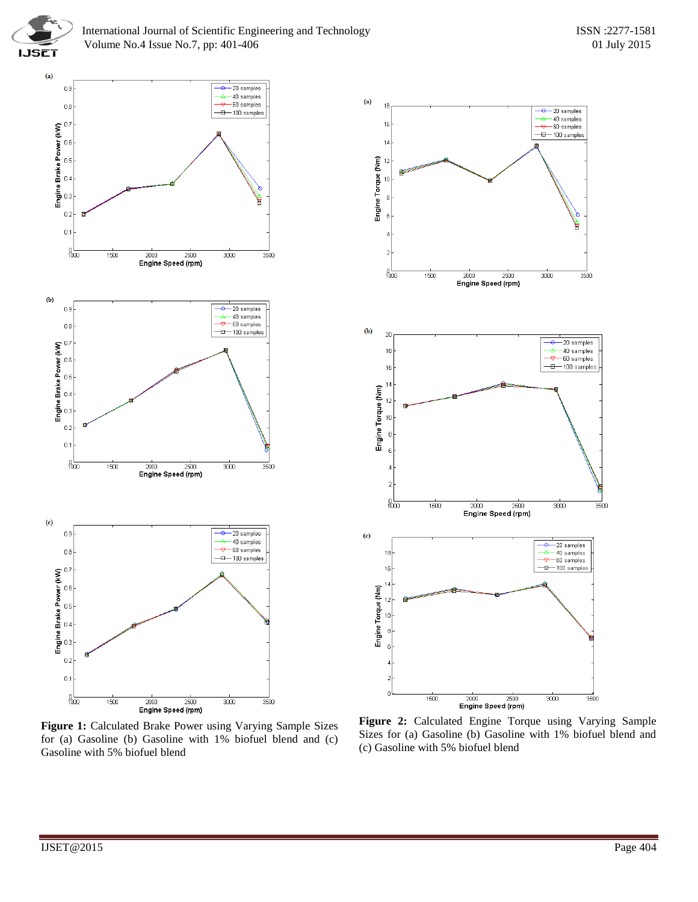



**Figure 1:** Calculated Brake Power using Varying Sample Sizes for (a) Gasoline (b) Gasoline with 1% biofuel blend and (c) Gasoline with 5% biofuel blend



**Figure 2:** Calculated Engine Torque using Varying Sample Sizes for (a) Gasoline (b) Gasoline with 1% biofuel blend and (c) Gasoline with 5% biofuel blend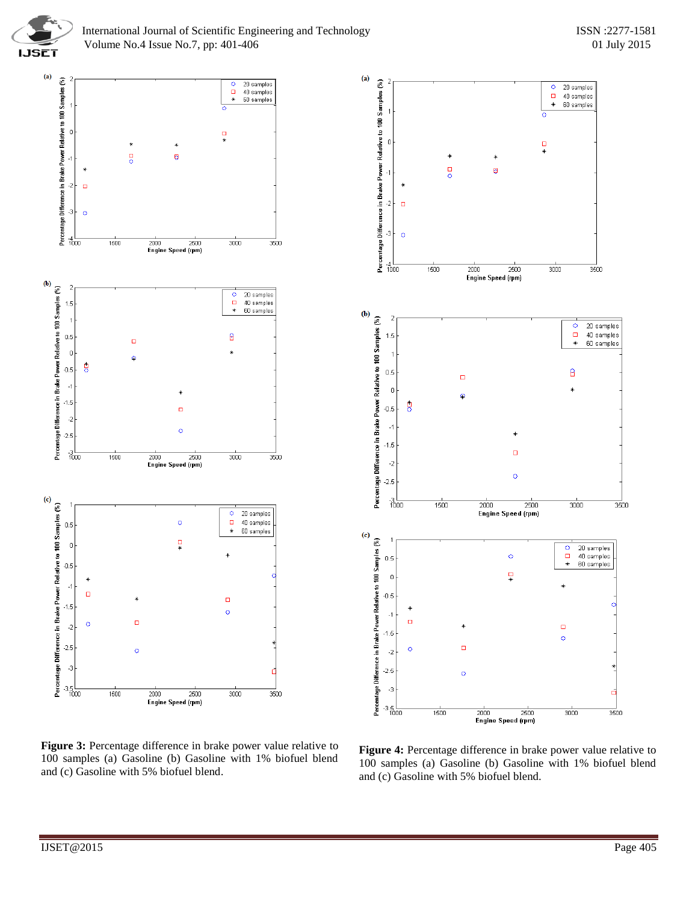

 $(a)$ 



Percentage Difference in Brake Power Relative to 100 Samples (%)  $\circ$ 20 samples  $\Box$ 40 samples  $\ast$ 60 samples  $\overline{0}$  $\frac{1}{1}$  $\ast$  $\frac{1}{\alpha}$ ø  $\ast$  $-2$  $\Box$  $-3$  $\circ$  $\frac{4}{1000}$  $1500$  $3000$ 2000 2500 3500 **Engine Speed (rpm)**  $(b)$  $\overline{2}$ Percentage Difference in Brake Power Relative to 100 Samples (%) 20 samples  $\circ$  $\Box$ 40 samples  $1.5$  $\ast$ 60 samples 8  $0.5$  $\Box$  $\mathbf 0$ Q  $\overline{5}$  $-0.5$  $-1$  $-1.5$  $\Box$  $\cdot$ <sub>2</sub>  $\circ$  $-2.5$  $\frac{3}{1000}$ 1500 2000 2500 3000  $\overline{3500}$ Engine Speed (rpm)  $(c)$ Percentage Difference in Brake Power Relative to 100 Samples (%) 20 samples  $\circ$  $\ddot{\circ}$  $\frac{\Box}{*}$ 40 samples  $0.5$ 60 samples  $\frac{\Box}{\Box}$  $\boldsymbol{0}$  $-0.5$  $-1$  $\Box$  $\ast$  $\Box$  $-1.5$  $\bar{\text{o}}$  $\Box$  $\circ$  $-2$  $-2.5$  $\circ$  $-3$  $-3.5$  $\frac{1}{1500}$  $\frac{1}{2000}$  $2500$  $\frac{1}{3000}$  $\frac{1}{3500}$ Engine Speed (rpm)

**Figure 3:** Percentage difference in brake power value relative to 100 samples (a) Gasoline (b) Gasoline with 1% biofuel blend and (c) Gasoline with 5% biofuel blend.

**Figure 4:** Percentage difference in brake power value relative to 100 samples (a) Gasoline (b) Gasoline with 1% biofuel blend and (c) Gasoline with 5% biofuel blend.